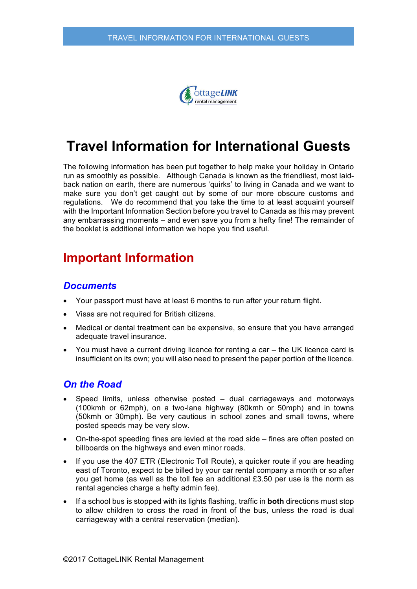

# **Travel Information for International Guests**

The following information has been put together to help make your holiday in Ontario run as smoothly as possible. Although Canada is known as the friendliest, most laidback nation on earth, there are numerous 'quirks' to living in Canada and we want to make sure you don't get caught out by some of our more obscure customs and regulations. We do recommend that you take the time to at least acquaint yourself with the Important Information Section before you travel to Canada as this may prevent any embarrassing moments – and even save you from a hefty fine! The remainder of the booklet is additional information we hope you find useful.

# **Important Information**

#### *Documents*

- Your passport must have at least 6 months to run after your return flight.
- Visas are not required for British citizens.
- Medical or dental treatment can be expensive, so ensure that you have arranged adequate travel insurance.
- You must have a current driving licence for renting a car the UK licence card is insufficient on its own; you will also need to present the paper portion of the licence.

#### *On the Road*

- Speed limits, unless otherwise posted dual carriageways and motorways (100kmh or 62mph), on a two-lane highway (80kmh or 50mph) and in towns (50kmh or 30mph). Be very cautious in school zones and small towns, where posted speeds may be very slow.
- On-the-spot speeding fines are levied at the road side fines are often posted on billboards on the highways and even minor roads.
- If you use the 407 ETR (Electronic Toll Route), a quicker route if you are heading east of Toronto, expect to be billed by your car rental company a month or so after you get home (as well as the toll fee an additional £3.50 per use is the norm as rental agencies charge a hefty admin fee).
- If a school bus is stopped with its lights flashing, traffic in **both** directions must stop to allow children to cross the road in front of the bus, unless the road is dual carriageway with a central reservation (median).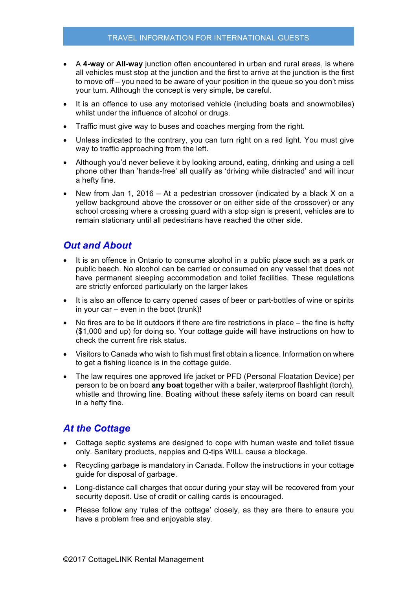- A **4-way** or **All-way** junction often encountered in urban and rural areas, is where all vehicles must stop at the junction and the first to arrive at the junction is the first to move off – you need to be aware of your position in the queue so you don't miss your turn. Although the concept is very simple, be careful.
- It is an offence to use any motorised vehicle (including boats and snowmobiles) whilst under the influence of alcohol or drugs.
- Traffic must give way to buses and coaches merging from the right.
- Unless indicated to the contrary, you can turn right on a red light. You must give way to traffic approaching from the left.
- Although you'd never believe it by looking around, eating, drinking and using a cell phone other than 'hands-free' all qualify as 'driving while distracted' and will incur a hefty fine.
- New from Jan 1, 2016 At a pedestrian crossover (indicated by a black X on a yellow background above the crossover or on either side of the crossover) or any school crossing where a crossing guard with a stop sign is present, vehicles are to remain stationary until all pedestrians have reached the other side.

## *Out and About*

- It is an offence in Ontario to consume alcohol in a public place such as a park or public beach. No alcohol can be carried or consumed on any vessel that does not have permanent sleeping accommodation and toilet facilities. These regulations are strictly enforced particularly on the larger lakes
- It is also an offence to carry opened cases of beer or part-bottles of wine or spirits in your car – even in the boot (trunk)!
- No fires are to be lit outdoors if there are fire restrictions in place the fine is hefty (\$1,000 and up) for doing so. Your cottage guide will have instructions on how to check the current fire risk status.
- Visitors to Canada who wish to fish must first obtain a licence. Information on where to get a fishing licence is in the cottage guide.
- The law requires one approved life jacket or PFD (Personal Floatation Device) per person to be on board **any boat** together with a bailer, waterproof flashlight (torch), whistle and throwing line. Boating without these safety items on board can result in a hefty fine.

## *At the Cottage*

- Cottage septic systems are designed to cope with human waste and toilet tissue only. Sanitary products, nappies and Q-tips WILL cause a blockage.
- Recycling garbage is mandatory in Canada. Follow the instructions in your cottage guide for disposal of garbage.
- Long-distance call charges that occur during your stay will be recovered from your security deposit. Use of credit or calling cards is encouraged.
- Please follow any 'rules of the cottage' closely, as they are there to ensure you have a problem free and enjoyable stay.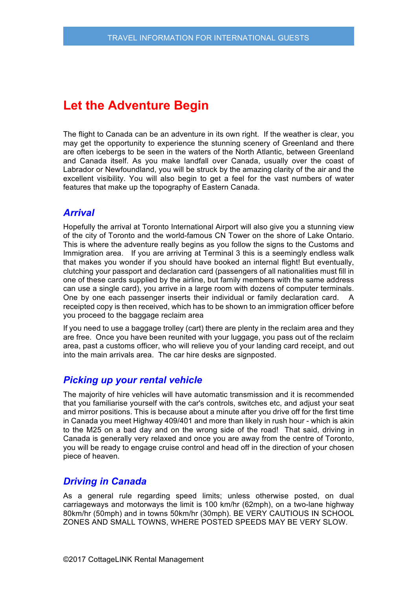# **Let the Adventure Begin**

The flight to Canada can be an adventure in its own right. If the weather is clear, you may get the opportunity to experience the stunning scenery of Greenland and there are often icebergs to be seen in the waters of the North Atlantic, between Greenland and Canada itself. As you make landfall over Canada, usually over the coast of Labrador or Newfoundland, you will be struck by the amazing clarity of the air and the excellent visibility. You will also begin to get a feel for the vast numbers of water features that make up the topography of Eastern Canada.

### *Arrival*

Hopefully the arrival at Toronto International Airport will also give you a stunning view of the city of Toronto and the world-famous CN Tower on the shore of Lake Ontario. This is where the adventure really begins as you follow the signs to the Customs and Immigration area. If you are arriving at Terminal 3 this is a seemingly endless walk that makes you wonder if you should have booked an internal flight! But eventually, clutching your passport and declaration card (passengers of all nationalities must fill in one of these cards supplied by the airline, but family members with the same address can use a single card), you arrive in a large room with dozens of computer terminals. One by one each passenger inserts their individual or family declaration card. A receipted copy is then received, which has to be shown to an immigration officer before you proceed to the baggage reclaim area

If you need to use a baggage trolley (cart) there are plenty in the reclaim area and they are free. Once you have been reunited with your luggage, you pass out of the reclaim area, past a customs officer, who will relieve you of your landing card receipt, and out into the main arrivals area. The car hire desks are signposted.

### *Picking up your rental vehicle*

The majority of hire vehicles will have automatic transmission and it is recommended that you familiarise yourself with the car's controls, switches etc, and adjust your seat and mirror positions. This is because about a minute after you drive off for the first time in Canada you meet Highway 409/401 and more than likely in rush hour - which is akin to the M25 on a bad day and on the wrong side of the road! That said, driving in Canada is generally very relaxed and once you are away from the centre of Toronto, you will be ready to engage cruise control and head off in the direction of your chosen piece of heaven.

### *Driving in Canada*

As a general rule regarding speed limits; unless otherwise posted, on dual carriageways and motorways the limit is 100 km/hr (62mph), on a two-lane highway 80km/hr (50mph) and in towns 50km/hr (30mph). BE VERY CAUTIOUS IN SCHOOL ZONES AND SMALL TOWNS, WHERE POSTED SPEEDS MAY BE VERY SLOW.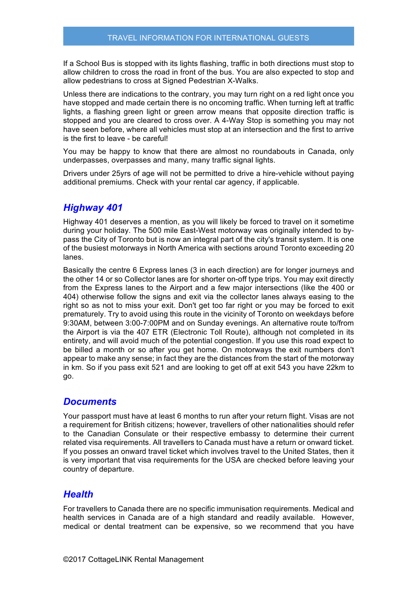If a School Bus is stopped with its lights flashing, traffic in both directions must stop to allow children to cross the road in front of the bus. You are also expected to stop and allow pedestrians to cross at Signed Pedestrian X-Walks.

Unless there are indications to the contrary, you may turn right on a red light once you have stopped and made certain there is no oncoming traffic. When turning left at traffic lights, a flashing green light or green arrow means that opposite direction traffic is stopped and you are cleared to cross over. A 4-Way Stop is something you may not have seen before, where all vehicles must stop at an intersection and the first to arrive is the first to leave - be careful!

You may be happy to know that there are almost no roundabouts in Canada, only underpasses, overpasses and many, many traffic signal lights.

Drivers under 25yrs of age will not be permitted to drive a hire-vehicle without paying additional premiums. Check with your rental car agency, if applicable.

### *Highway 401*

Highway 401 deserves a mention, as you will likely be forced to travel on it sometime during your holiday. The 500 mile East-West motorway was originally intended to bypass the City of Toronto but is now an integral part of the city's transit system. It is one of the busiest motorways in North America with sections around Toronto exceeding 20 lanes.

Basically the centre 6 Express lanes (3 in each direction) are for longer journeys and the other 14 or so Collector lanes are for shorter on-off type trips. You may exit directly from the Express lanes to the Airport and a few major intersections (like the 400 or 404) otherwise follow the signs and exit via the collector lanes always easing to the right so as not to miss your exit. Don't get too far right or you may be forced to exit prematurely. Try to avoid using this route in the vicinity of Toronto on weekdays before 9:30AM, between 3:00-7:00PM and on Sunday evenings. An alternative route to/from the Airport is via the 407 ETR (Electronic Toll Route), although not completed in its entirety, and will avoid much of the potential congestion. If you use this road expect to be billed a month or so after you get home. On motorways the exit numbers don't appear to make any sense; in fact they are the distances from the start of the motorway in km. So if you pass exit 521 and are looking to get off at exit 543 you have 22km to go.

#### *Documents*

Your passport must have at least 6 months to run after your return flight. Visas are not a requirement for British citizens; however, travellers of other nationalities should refer to the Canadian Consulate or their respective embassy to determine their current related visa requirements. All travellers to Canada must have a return or onward ticket. If you posses an onward travel ticket which involves travel to the United States, then it is very important that visa requirements for the USA are checked before leaving your country of departure.

### *Health*

For travellers to Canada there are no specific immunisation requirements. Medical and health services in Canada are of a high standard and readily available. However, medical or dental treatment can be expensive, so we recommend that you have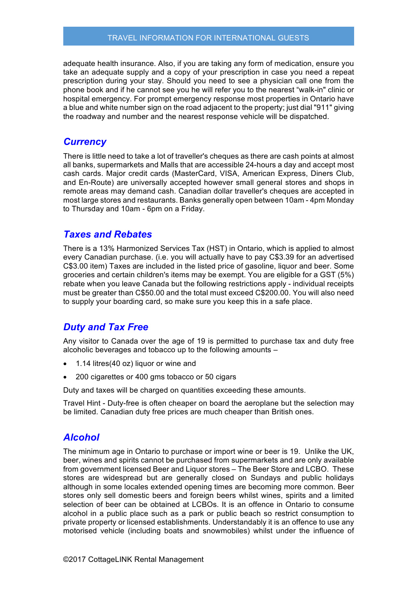#### TRAVEL INFORMATION FOR INTERNATIONAL GUESTS

adequate health insurance. Also, if you are taking any form of medication, ensure you take an adequate supply and a copy of your prescription in case you need a repeat prescription during your stay. Should you need to see a physician call one from the phone book and if he cannot see you he will refer you to the nearest "walk-in" clinic or hospital emergency. For prompt emergency response most properties in Ontario have a blue and white number sign on the road adjacent to the property; just dial "911" giving the roadway and number and the nearest response vehicle will be dispatched.

#### *Currency*

There is little need to take a lot of traveller's cheques as there are cash points at almost all banks, supermarkets and Malls that are accessible 24-hours a day and accept most cash cards. Major credit cards (MasterCard, VISA, American Express, Diners Club, and En-Route) are universally accepted however small general stores and shops in remote areas may demand cash. Canadian dollar traveller's cheques are accepted in most large stores and restaurants. Banks generally open between 10am - 4pm Monday to Thursday and 10am - 6pm on a Friday.

#### *Taxes and Rebates*

There is a 13% Harmonized Services Tax (HST) in Ontario, which is applied to almost every Canadian purchase. (i.e. you will actually have to pay C\$3.39 for an advertised C\$3.00 item) Taxes are included in the listed price of gasoline, liquor and beer. Some groceries and certain children's items may be exempt. You are eligible for a GST (5%) rebate when you leave Canada but the following restrictions apply - individual receipts must be greater than C\$50.00 and the total must exceed C\$200.00. You will also need to supply your boarding card, so make sure you keep this in a safe place.

## *Duty and Tax Free*

Any visitor to Canada over the age of 19 is permitted to purchase tax and duty free alcoholic beverages and tobacco up to the following amounts –

- 1.14 litres(40 oz) liquor or wine and
- 200 cigarettes or 400 gms tobacco or 50 cigars

Duty and taxes will be charged on quantities exceeding these amounts.

Travel Hint - Duty-free is often cheaper on board the aeroplane but the selection may be limited. Canadian duty free prices are much cheaper than British ones.

### *Alcohol*

The minimum age in Ontario to purchase or import wine or beer is 19. Unlike the UK, beer, wines and spirits cannot be purchased from supermarkets and are only available from government licensed Beer and Liquor stores – The Beer Store and LCBO. These stores are widespread but are generally closed on Sundays and public holidays although in some locales extended opening times are becoming more common. Beer stores only sell domestic beers and foreign beers whilst wines, spirits and a limited selection of beer can be obtained at LCBOs. It is an offence in Ontario to consume alcohol in a public place such as a park or public beach so restrict consumption to private property or licensed establishments. Understandably it is an offence to use any motorised vehicle (including boats and snowmobiles) whilst under the influence of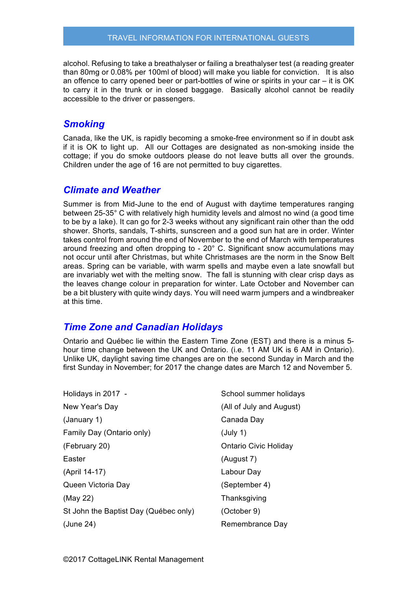alcohol. Refusing to take a breathalyser or failing a breathalyser test (a reading greater than 80mg or 0.08% per 100ml of blood) will make you liable for conviction. It is also an offence to carry opened beer or part-bottles of wine or spirits in your car – it is OK to carry it in the trunk or in closed baggage. Basically alcohol cannot be readily accessible to the driver or passengers.

#### *Smoking*

Canada, like the UK, is rapidly becoming a smoke-free environment so if in doubt ask if it is OK to light up. All our Cottages are designated as non-smoking inside the cottage; if you do smoke outdoors please do not leave butts all over the grounds. Children under the age of 16 are not permitted to buy cigarettes.

#### *Climate and Weather*

Summer is from Mid-June to the end of August with daytime temperatures ranging between 25-35° C with relatively high humidity levels and almost no wind (a good time to be by a lake). It can go for 2-3 weeks without any significant rain other than the odd shower. Shorts, sandals, T-shirts, sunscreen and a good sun hat are in order. Winter takes control from around the end of November to the end of March with temperatures around freezing and often dropping to - 20° C. Significant snow accumulations may not occur until after Christmas, but white Christmases are the norm in the Snow Belt areas. Spring can be variable, with warm spells and maybe even a late snowfall but are invariably wet with the melting snow. The fall is stunning with clear crisp days as the leaves change colour in preparation for winter. Late October and November can be a bit blustery with quite windy days. You will need warm jumpers and a windbreaker at this time.

### *Time Zone and Canadian Holidays*

Ontario and Québec lie within the Eastern Time Zone (EST) and there is a minus 5 hour time change between the UK and Ontario. (i.e. 11 AM UK is 6 AM in Ontario). Unlike UK, daylight saving time changes are on the second Sunday in March and the first Sunday in November; for 2017 the change dates are March 12 and November 5.

Holidays in 2017 - New Year's Day (January 1) Family Day (Ontario only) (February 20) Easter (April 14-17) Queen Victoria Day (May 22) St John the Baptist Day (Québec only) (June 24)

School summer holidays (All of July and August) Canada Day (July 1) Ontario Civic Holiday (August 7) Labour Day (September 4) **Thanksgiving** (October 9) Remembrance Day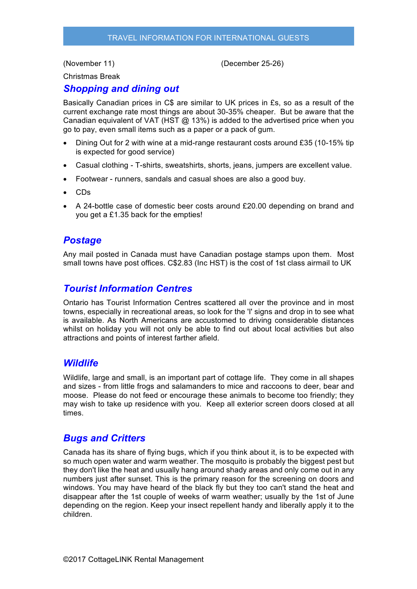(November 11)

(December 25-26)

Christmas Break

### *Shopping and dining out*

Basically Canadian prices in C\$ are similar to UK prices in £s, so as a result of the current exchange rate most things are about 30-35% cheaper. But be aware that the Canadian equivalent of VAT (HST  $@$  13%) is added to the advertised price when you go to pay, even small items such as a paper or a pack of gum.

- Dining Out for 2 with wine at a mid-range restaurant costs around £35 (10-15% tip is expected for good service)
- Casual clothing T-shirts, sweatshirts, shorts, jeans, jumpers are excellent value.
- Footwear runners, sandals and casual shoes are also a good buy.
- CDs
- A 24-bottle case of domestic beer costs around £20.00 depending on brand and you get a £1.35 back for the empties!

## *Postage*

Any mail posted in Canada must have Canadian postage stamps upon them. Most small towns have post offices. C\$2.83 (Inc HST) is the cost of 1st class airmail to UK

## *Tourist Information Centres*

Ontario has Tourist Information Centres scattered all over the province and in most towns, especially in recreational areas, so look for the 'I' signs and drop in to see what is available. As North Americans are accustomed to driving considerable distances whilst on holiday you will not only be able to find out about local activities but also attractions and points of interest farther afield.

#### *Wildlife*

Wildlife, large and small, is an important part of cottage life. They come in all shapes and sizes - from little frogs and salamanders to mice and raccoons to deer, bear and moose. Please do not feed or encourage these animals to become too friendly; they may wish to take up residence with you. Keep all exterior screen doors closed at all times.

### *Bugs and Critters*

Canada has its share of flying bugs, which if you think about it, is to be expected with so much open water and warm weather. The mosquito is probably the biggest pest but they don't like the heat and usually hang around shady areas and only come out in any numbers just after sunset. This is the primary reason for the screening on doors and windows. You may have heard of the black fly but they too can't stand the heat and disappear after the 1st couple of weeks of warm weather; usually by the 1st of June depending on the region. Keep your insect repellent handy and liberally apply it to the children.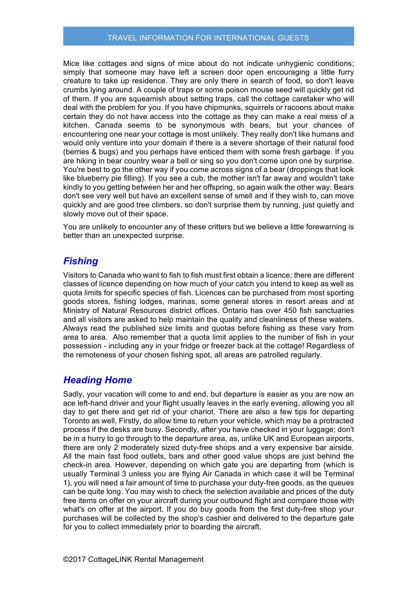#### TRAVEL INFORMATION FOR INTERNATIONAL GUESTS

Mice like cottages and signs of mice about do not indicate unhygienic conditions; simply that someone may have left a screen door open encouraging a little furry creature to take up residence. They are only there in search of food, so don't leave crumbs lying around. A couple of traps or some poison mouse seed will quickly get rid of them. If you are squeamish about setting traps, call the cottage caretaker who will deal with the problem for you. If you have chipmunks, squirrels or racoons about make certain they do not have access into the cottage as they can make a real mess of a kitchen. Canada seems to be synonymous with bears, but your chances of encountering one near your cottage is most unlikely. They really don't like humans and would only venture into your domain if there is a severe shortage of their natural food (berries & bugs) and you perhaps have enticed them with some fresh garbage. If you are hiking in bear country wear a bell or sing so you don't come upon one by surprise. You're best to go the other way if you come across signs of a bear (droppings that look like blueberry pie filling). If you see a cub, the mother isn't far away and wouldn't take kindly to you getting between her and her offspring, so again walk the other way. Bears don't see very well but have an excellent sense of smell and if they wish to, can move quickly and are good tree climbers, so don't surprise them by running, just quietly and slowly move out of their space.

You are unlikely to encounter any of these critters but we believe a little forewarning is better than an unexpected surprise.

## *Fishing*

Visitors to Canada who want to fish to fish must first obtain a licence; there are different classes of licence depending on how much of your catch you intend to keep as well as quota limits for specific species of fish. Licences can be purchased from most sporting goods stores, fishing lodges, marinas, some general stores in resort areas and at Ministry of Natural Resources district offices. Ontario has over 450 fish sanctuaries and all visitors are asked to help maintain the quality and cleanliness of these waters. Always read the published size limits and quotas before fishing as these vary from area to area. Also remember that a quota limit applies to the number of fish in your possession - including any in your fridge or freezer back at the cottage! Regardless of the remoteness of your chosen fishing spot, all areas are patrolled regularly.

### *Heading Home*

Sadly, your vacation will come to and end, but departure is easier as you are now an ace left-hand driver and your flight usually leaves in the early evening, allowing you all day to get there and get rid of your chariot. There are also a few tips for departing Toronto as well. Firstly, do allow time to return your vehicle, which may be a protracted process if the desks are busy. Secondly, after you have checked in your luggage; don't be in a hurry to go through to the departure area, as, unlike UK and European airports, there are only 2 moderately sized duty-free shops and a very expensive bar airside. All the main fast food outlets, bars and other good value shops are just behind the check-in area. However, depending on which gate you are departing from (which is usually Terminal 3 unless you are flying Air Canada in which case it will be Terminal 1), you will need a fair amount of time to purchase your duty-free goods, as the queues can be quite long. You may wish to check the selection available and prices of the duty free items on offer on your aircraft during your outbound flight and compare those with what's on offer at the airport. If you do buy goods from the first duty-free shop your purchases will be collected by the shop's cashier and delivered to the departure gate for you to collect immediately prior to boarding the aircraft.